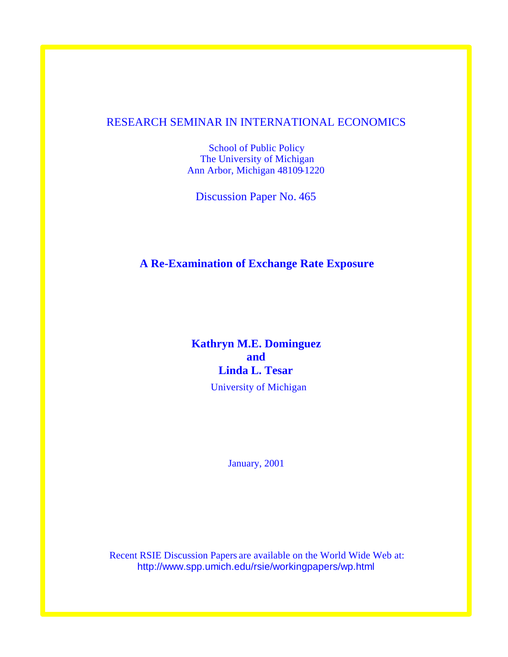# RESEARCH SEMINAR IN INTERNATIONAL ECONOMICS

School of Public Policy The University of Michigan Ann Arbor, Michigan 48109-1220

Discussion Paper No. 465

# **A Re-Examination of Exchange Rate Exposure**

# **Kathryn M.E. Dominguez and Linda L. Tesar**

University of Michigan

January, 2001

Recent RSIE Discussion Papers are available on the World Wide Web at: http://www.spp.umich.edu/rsie/workingpapers/wp.html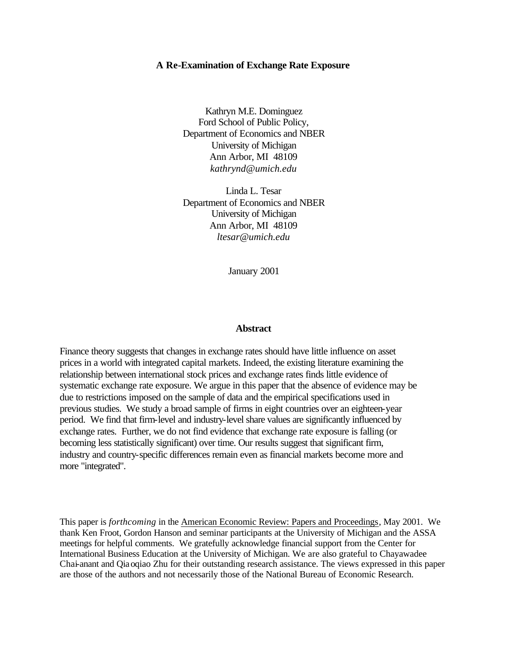#### **A Re-Examination of Exchange Rate Exposure**

Kathryn M.E. Dominguez Ford School of Public Policy, Department of Economics and NBER University of Michigan Ann Arbor, MI 48109 *kathrynd@umich.edu*

Linda L. Tesar Department of Economics and NBER University of Michigan Ann Arbor, MI 48109 *ltesar@umich.edu*

January 2001

#### **Abstract**

Finance theory suggests that changes in exchange rates should have little influence on asset prices in a world with integrated capital markets. Indeed, the existing literature examining the relationship between international stock prices and exchange rates finds little evidence of systematic exchange rate exposure. We argue in this paper that the absence of evidence may be due to restrictions imposed on the sample of data and the empirical specifications used in previous studies. We study a broad sample of firms in eight countries over an eighteen-year period. We find that firm-level and industry-level share values are significantly influenced by exchange rates. Further, we do not find evidence that exchange rate exposure is falling (or becoming less statistically significant) over time. Our results suggest that significant firm, industry and country-specific differences remain even as financial markets become more and more "integrated".

This paper is *forthcoming* in the American Economic Review: Papers and Proceedings, May 2001. We thank Ken Froot, Gordon Hanson and seminar participants at the University of Michigan and the ASSA meetings for helpful comments. We gratefully acknowledge financial support from the Center for International Business Education at the University of Michigan. We are also grateful to Chayawadee Chai-anant and Qiaoqiao Zhu for their outstanding research assistance. The views expressed in this paper are those of the authors and not necessarily those of the National Bureau of Economic Research.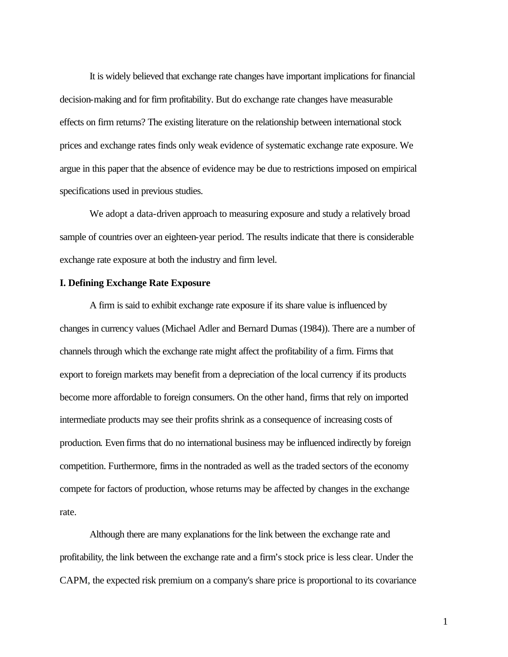It is widely believed that exchange rate changes have important implications for financial decision-making and for firm profitability. But do exchange rate changes have measurable effects on firm returns? The existing literature on the relationship between international stock prices and exchange rates finds only weak evidence of systematic exchange rate exposure. We argue in this paper that the absence of evidence may be due to restrictions imposed on empirical specifications used in previous studies.

We adopt a data-driven approach to measuring exposure and study a relatively broad sample of countries over an eighteen-year period. The results indicate that there is considerable exchange rate exposure at both the industry and firm level.

#### **I. Defining Exchange Rate Exposure**

A firm is said to exhibit exchange rate exposure if its share value is influenced by changes in currency values (Michael Adler and Bernard Dumas (1984)). There are a number of channels through which the exchange rate might affect the profitability of a firm. Firms that export to foreign markets may benefit from a depreciation of the local currency if its products become more affordable to foreign consumers. On the other hand, firms that rely on imported intermediate products may see their profits shrink as a consequence of increasing costs of production. Even firms that do no international business may be influenced indirectly by foreign competition. Furthermore, firms in the nontraded as well as the traded sectors of the economy compete for factors of production, whose returns may be affected by changes in the exchange rate.

Although there are many explanations for the link between the exchange rate and profitability, the link between the exchange rate and a firm's stock price is less clear. Under the CAPM, the expected risk premium on a company's share price is proportional to its covariance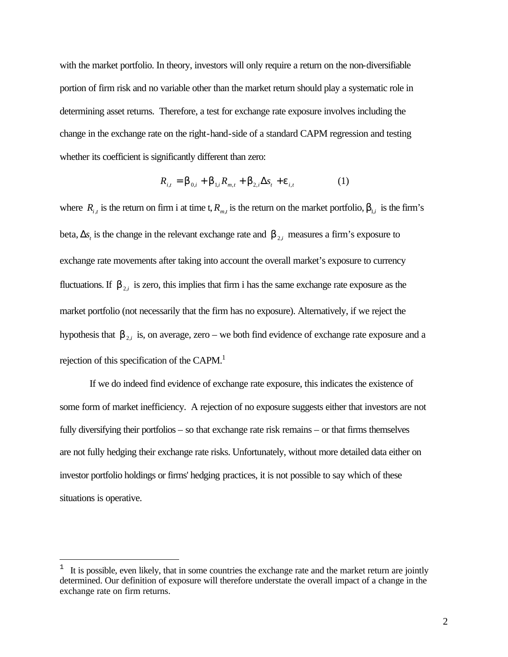with the market portfolio. In theory, investors will only require a return on the non-diversifiable portion of firm risk and no variable other than the market return should play a systematic role in determining asset returns. Therefore, a test for exchange rate exposure involves including the change in the exchange rate on the right-hand-side of a standard CAPM regression and testing whether its coefficient is significantly different than zero:

$$
R_{i,t} = \mathbf{b}_{0,i} + \mathbf{b}_{1,i} R_{m,t} + \mathbf{b}_{2,i} \Delta s_t + \mathbf{e}_{i,t}
$$
 (1)

where  $R_{i,t}$  is the return on firm i at time t,  $R_{m,t}$  is the return on the market portfolio,  $b_{1,t}$  is the firm's beta,  $\Delta s$ <sub>*t*</sub> is the change in the relevant exchange rate and  $b$ <sub>2,*i*</sub> measures a firm's exposure to exchange rate movements after taking into account the overall market's exposure to currency fluctuations. If  $\mathbf{b}_{2,i}$  is zero, this implies that firm i has the same exchange rate exposure as the market portfolio (not necessarily that the firm has no exposure). Alternatively, if we reject the hypothesis that  $b_{2,i}$  is, on average, zero – we both find evidence of exchange rate exposure and a rejection of this specification of the CAPM.<sup>1</sup>

If we do indeed find evidence of exchange rate exposure, this indicates the existence of some form of market inefficiency. A rejection of no exposure suggests either that investors are not fully diversifying their portfolios – so that exchange rate risk remains – or that firms themselves are not fully hedging their exchange rate risks. Unfortunately, without more detailed data either on investor portfolio holdings or firms' hedging practices, it is not possible to say which of these situations is operative.

 $\overline{a}$ 

<sup>1</sup> It is possible, even likely, that in some countries the exchange rate and the market return are jointly determined. Our definition of exposure will therefore understate the overall impact of a change in the exchange rate on firm returns.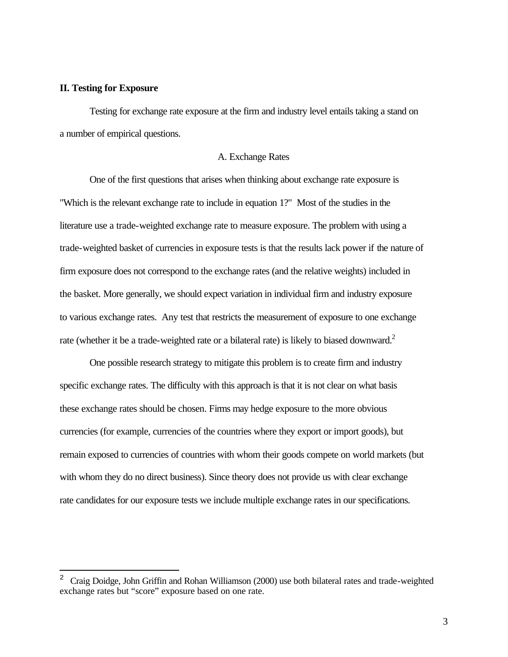## **II. Testing for Exposure**

 $\overline{a}$ 

Testing for exchange rate exposure at the firm and industry level entails taking a stand on a number of empirical questions.

#### A. Exchange Rates

One of the first questions that arises when thinking about exchange rate exposure is "Which is the relevant exchange rate to include in equation 1?" Most of the studies in the literature use a trade-weighted exchange rate to measure exposure. The problem with using a trade-weighted basket of currencies in exposure tests is that the results lack power if the nature of firm exposure does not correspond to the exchange rates (and the relative weights) included in the basket. More generally, we should expect variation in individual firm and industry exposure to various exchange rates. Any test that restricts the measurement of exposure to one exchange rate (whether it be a trade-weighted rate or a bilateral rate) is likely to biased downward.<sup>2</sup>

One possible research strategy to mitigate this problem is to create firm and industry specific exchange rates. The difficulty with this approach is that it is not clear on what basis these exchange rates should be chosen. Firms may hedge exposure to the more obvious currencies (for example, currencies of the countries where they export or import goods), but remain exposed to currencies of countries with whom their goods compete on world markets (but with whom they do no direct business). Since theory does not provide us with clear exchange rate candidates for our exposure tests we include multiple exchange rates in our specifications.

<sup>&</sup>lt;sup>2</sup> Craig Doidge, John Griffin and Rohan Williamson (2000) use both bilateral rates and trade-weighted exchange rates but "score" exposure based on one rate.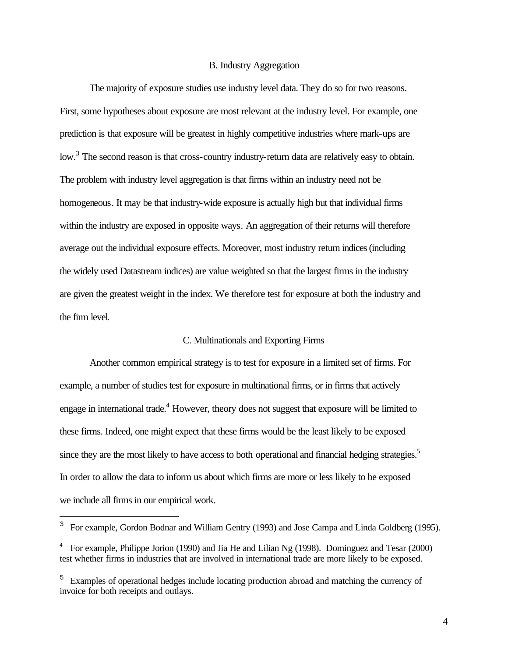#### B. Industry Aggregation

The majority of exposure studies use industry level data. They do so for two reasons. First, some hypotheses about exposure are most relevant at the industry level. For example, one prediction is that exposure will be greatest in highly competitive industries where mark-ups are low.<sup>3</sup> The second reason is that cross-country industry-return data are relatively easy to obtain. The problem with industry level aggregation is that firms within an industry need not be homogeneous. It may be that industry-wide exposure is actually high but that individual firms within the industry are exposed in opposite ways. An aggregation of their returns will therefore average out the individual exposure effects. Moreover, most industry return indices (including the widely used Datastream indices) are value weighted so that the largest firms in the industry are given the greatest weight in the index. We therefore test for exposure at both the industry and the firm level.

## C. Multinationals and Exporting Firms

Another common empirical strategy is to test for exposure in a limited set of firms. For example, a number of studies test for exposure in multinational firms, or in firms that actively engage in international trade.<sup>4</sup> However, theory does not suggest that exposure will be limited to these firms. Indeed, one might expect that these firms would be the least likely to be exposed since they are the most likely to have access to both operational and financial hedging strategies.<sup>5</sup> In order to allow the data to inform us about which firms are more or less likely to be exposed we include all firms in our empirical work.

 $\overline{a}$ 

<sup>3</sup> For example, Gordon Bodnar and William Gentry (1993) and Jose Campa and Linda Goldberg (1995).

<sup>4</sup> For example, Philippe Jorion (1990) and Jia He and Lilian Ng (1998). Dominguez and Tesar (2000) test whether firms in industries that are involved in international trade are more likely to be exposed.

<sup>&</sup>lt;sup>5</sup> Examples of operational hedges include locating production abroad and matching the currency of invoice for both receipts and outlays.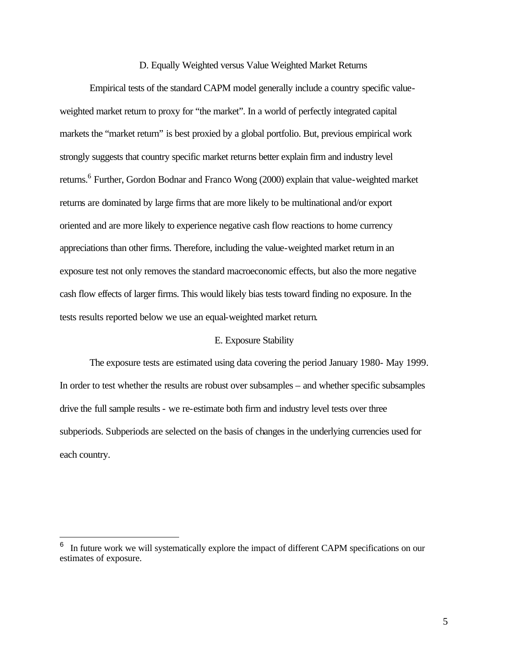#### D. Equally Weighted versus Value Weighted Market Returns

Empirical tests of the standard CAPM model generally include a country specific valueweighted market return to proxy for "the market". In a world of perfectly integrated capital markets the "market return" is best proxied by a global portfolio. But, previous empirical work strongly suggests that country specific market returns better explain firm and industry level returns.<sup>6</sup> Further, Gordon Bodnar and Franco Wong (2000) explain that value-weighted market returns are dominated by large firms that are more likely to be multinational and/or export oriented and are more likely to experience negative cash flow reactions to home currency appreciations than other firms. Therefore, including the value-weighted market return in an exposure test not only removes the standard macroeconomic effects, but also the more negative cash flow effects of larger firms. This would likely bias tests toward finding no exposure. In the tests results reported below we use an equal-weighted market return.

## E. Exposure Stability

The exposure tests are estimated using data covering the period January 1980- May 1999. In order to test whether the results are robust over subsamples – and whether specific subsamples drive the full sample results - we re-estimate both firm and industry level tests over three subperiods. Subperiods are selected on the basis of changes in the underlying currencies used for each country.

 $\overline{a}$ 

<sup>6</sup> In future work we will systematically explore the impact of different CAPM specifications on our estimates of exposure.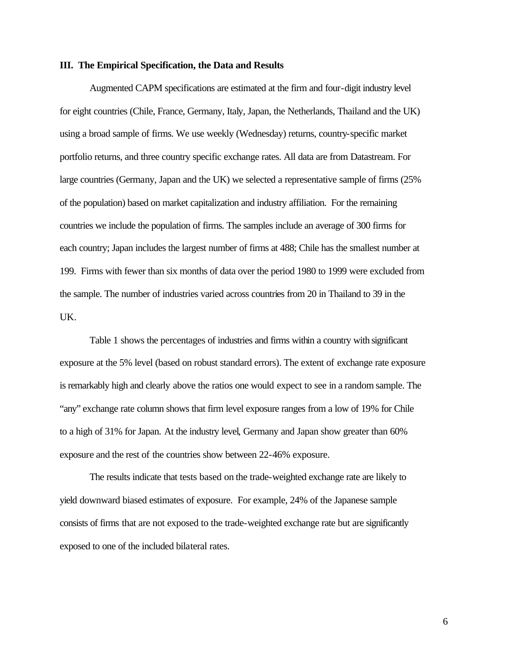#### **III. The Empirical Specification, the Data and Results**

Augmented CAPM specifications are estimated at the firm and four-digit industry level for eight countries (Chile, France, Germany, Italy, Japan, the Netherlands, Thailand and the UK) using a broad sample of firms. We use weekly (Wednesday) returns, country-specific market portfolio returns, and three country specific exchange rates. All data are from Datastream. For large countries (Germany, Japan and the UK) we selected a representative sample of firms (25% of the population) based on market capitalization and industry affiliation. For the remaining countries we include the population of firms. The samples include an average of 300 firms for each country; Japan includes the largest number of firms at 488; Chile has the smallest number at 199. Firms with fewer than six months of data over the period 1980 to 1999 were excluded from the sample. The number of industries varied across countries from 20 in Thailand to 39 in the UK.

Table 1 shows the percentages of industries and firms within a country with significant exposure at the 5% level (based on robust standard errors). The extent of exchange rate exposure is remarkably high and clearly above the ratios one would expect to see in a random sample. The "any" exchange rate column shows that firm level exposure ranges from a low of 19% for Chile to a high of 31% for Japan. At the industry level, Germany and Japan show greater than 60% exposure and the rest of the countries show between 22-46% exposure.

The results indicate that tests based on the trade-weighted exchange rate are likely to yield downward biased estimates of exposure. For example, 24% of the Japanese sample consists of firms that are not exposed to the trade-weighted exchange rate but are significantly exposed to one of the included bilateral rates.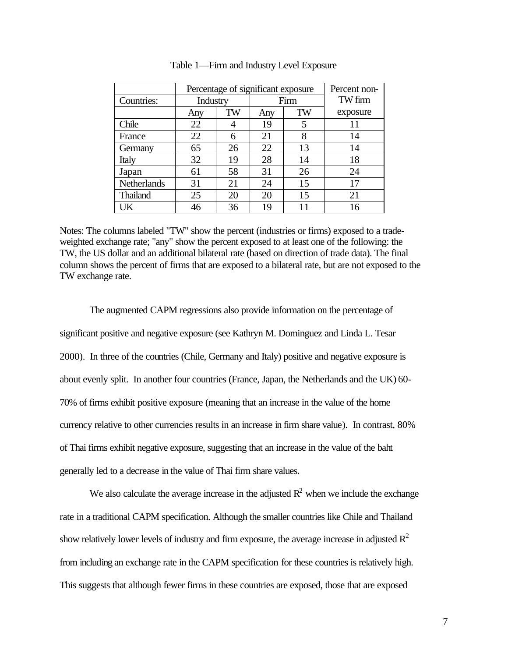|                    | Percentage of significant exposure |    |      |    | Percent non- |
|--------------------|------------------------------------|----|------|----|--------------|
| Countries:         | Industry                           |    | Firm |    | TW firm      |
|                    | Any                                | TW | Any  | TW | exposure     |
| Chile              | 22                                 |    | 19   | 5  | 11           |
| France             | 22                                 | 6  | 21   | 8  | 14           |
| Germany            | 65                                 | 26 | 22   | 13 | 14           |
| Italy              | 32                                 | 19 | 28   | 14 | 18           |
| Japan              | 61                                 | 58 | 31   | 26 | 24           |
| <b>Netherlands</b> | 31                                 | 21 | 24   | 15 | 17           |
| <b>Thailand</b>    | 25                                 | 20 | 20   | 15 | 21           |
| UK                 | 46                                 | 36 | 19   |    | 16           |

Table 1—Firm and Industry Level Exposure

Notes: The columns labeled "TW" show the percent (industries or firms) exposed to a tradeweighted exchange rate; "any" show the percent exposed to at least one of the following: the TW, the US dollar and an additional bilateral rate (based on direction of trade data). The final column shows the percent of firms that are exposed to a bilateral rate, but are not exposed to the TW exchange rate.

The augmented CAPM regressions also provide information on the percentage of significant positive and negative exposure (see Kathryn M. Dominguez and Linda L. Tesar 2000). In three of the countries (Chile, Germany and Italy) positive and negative exposure is about evenly split. In another four countries (France, Japan, the Netherlands and the UK) 60- 70% of firms exhibit positive exposure (meaning that an increase in the value of the home currency relative to other currencies results in an increase in firm share value). In contrast, 80% of Thai firms exhibit negative exposure, suggesting that an increase in the value of the baht generally led to a decrease in the value of Thai firm share values.

We also calculate the average increase in the adjusted  $R^2$  when we include the exchange rate in a traditional CAPM specification. Although the smaller countries like Chile and Thailand show relatively lower levels of industry and firm exposure, the average increase in adjusted  $R^2$ from including an exchange rate in the CAPM specification for these countries is relatively high. This suggests that although fewer firms in these countries are exposed, those that are exposed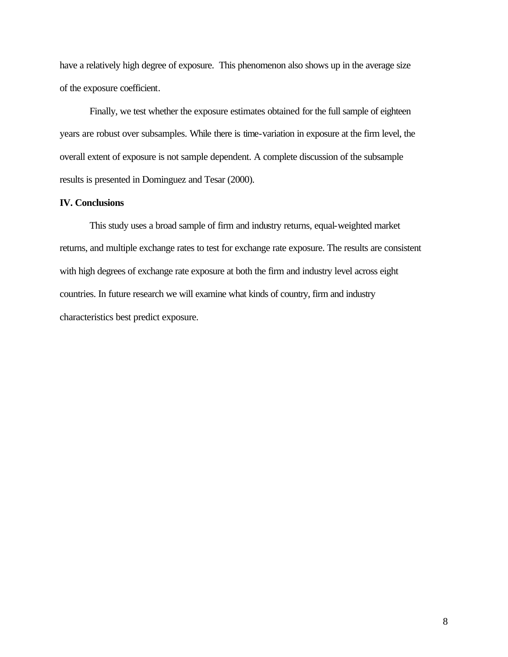have a relatively high degree of exposure. This phenomenon also shows up in the average size of the exposure coefficient.

Finally, we test whether the exposure estimates obtained for the full sample of eighteen years are robust over subsamples. While there is time-variation in exposure at the firm level, the overall extent of exposure is not sample dependent. A complete discussion of the subsample results is presented in Dominguez and Tesar (2000).

# **IV. Conclusions**

This study uses a broad sample of firm and industry returns, equal-weighted market returns, and multiple exchange rates to test for exchange rate exposure. The results are consistent with high degrees of exchange rate exposure at both the firm and industry level across eight countries. In future research we will examine what kinds of country, firm and industry characteristics best predict exposure.